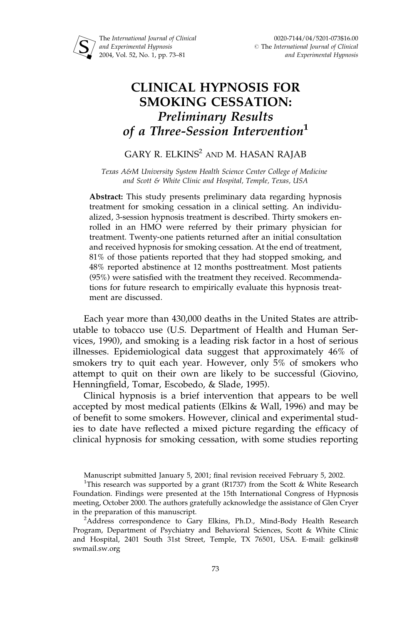

# CLINICAL HYPNOSIS FOR SMOKING CESSATION: Preliminary Results of a Three-Session Intervention<sup>1</sup>

# GARY R. ELKINS<sup>2</sup> AND M. HASAN RAJAB

Texas A&M University System Health Science Center College of Medicine and Scott & White Clinic and Hospital, Temple, Texas, USA

Abstract: This study presents preliminary data regarding hypnosis treatment for smoking cessation in a clinical setting. An individualized, 3-session hypnosis treatment is described. Thirty smokers enrolled in an HMO were referred by their primary physician for treatment. Twenty-one patients returned after an initial consultation and received hypnosis for smoking cessation. At the end of treatment, 81% of those patients reported that they had stopped smoking, and 48% reported abstinence at 12 months posttreatment. Most patients (95%) were satisfied with the treatment they received. Recommendations for future research to empirically evaluate this hypnosis treatment are discussed.

Each year more than 430,000 deaths in the United States are attributable to tobacco use (U.S. Department of Health and Human Services, 1990), and smoking is a leading risk factor in a host of serious illnesses. Epidemiological data suggest that approximately 46% of smokers try to quit each year. However, only 5% of smokers who attempt to quit on their own are likely to be successful (Giovino, Henningfield, Tomar, Escobedo, & Slade, 1995).

Clinical hypnosis is a brief intervention that appears to be well accepted by most medical patients (Elkins & Wall, 1996) and may be of benefit to some smokers. However, clinical and experimental studies to date have reflected a mixed picture regarding the efficacy of clinical hypnosis for smoking cessation, with some studies reporting

Manuscript submitted January 5, 2001; final revision received February 5, 2002.

<sup>2</sup>Address correspondence to Gary Elkins, Ph.D., Mind-Body Health Research Program, Department of Psychiatry and Behavioral Sciences, Scott & White Clinic and Hospital, 2401 South 31st Street, Temple, TX 76501, USA. E-mail: gelkins@ swmail.sw.org

<sup>&</sup>lt;sup>1</sup>This research was supported by a grant (R1737) from the Scott & White Research Foundation. Findings were presented at the 15th International Congress of Hypnosis meeting, October 2000. The authors gratefully acknowledge the assistance of Glen Cryer in the preparation of this manuscript.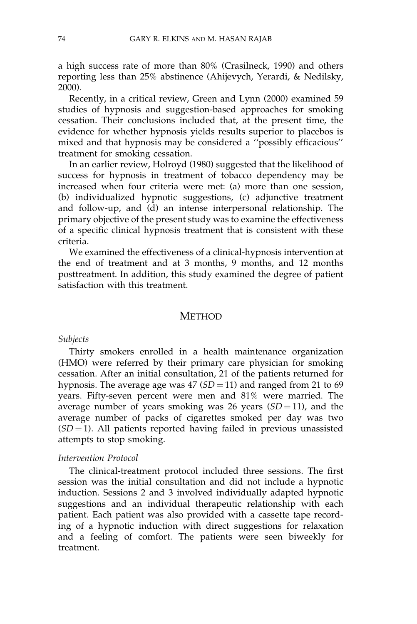a high success rate of more than 80% (Crasilneck, 1990) and others reporting less than 25% abstinence (Ahijevych, Yerardi, & Nedilsky, 2000).

Recently, in a critical review, Green and Lynn (2000) examined 59 studies of hypnosis and suggestion-based approaches for smoking cessation. Their conclusions included that, at the present time, the evidence for whether hypnosis yields results superior to placebos is mixed and that hypnosis may be considered a ''possibly efficacious'' treatment for smoking cessation.

In an earlier review, Holroyd (1980) suggested that the likelihood of success for hypnosis in treatment of tobacco dependency may be increased when four criteria were met: (a) more than one session, (b) individualized hypnotic suggestions, (c) adjunctive treatment and follow-up, and (d) an intense interpersonal relationship. The primary objective of the present study was to examine the effectiveness of a specific clinical hypnosis treatment that is consistent with these criteria.

We examined the effectiveness of a clinical-hypnosis intervention at the end of treatment and at 3 months, 9 months, and 12 months posttreatment. In addition, this study examined the degree of patient satisfaction with this treatment.

### METHOD

#### Subjects

Thirty smokers enrolled in a health maintenance organization (HMO) were referred by their primary care physician for smoking cessation. After an initial consultation, 21 of the patients returned for hypnosis. The average age was  $47 (SD = 11)$  and ranged from 21 to 69 years. Fifty-seven percent were men and 81% were married. The average number of years smoking was 26 years  $(SD = 11)$ , and the average number of packs of cigarettes smoked per day was two  $(SD = 1)$ . All patients reported having failed in previous unassisted attempts to stop smoking.

#### Intervention Protocol

The clinical-treatment protocol included three sessions. The first session was the initial consultation and did not include a hypnotic induction. Sessions 2 and 3 involved individually adapted hypnotic suggestions and an individual therapeutic relationship with each patient. Each patient was also provided with a cassette tape recording of a hypnotic induction with direct suggestions for relaxation and a feeling of comfort. The patients were seen biweekly for treatment.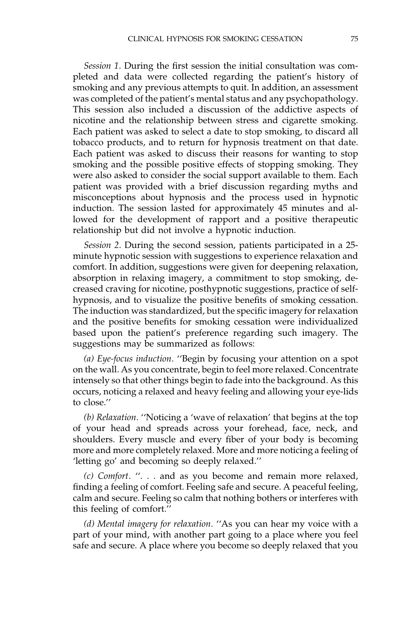Session 1. During the first session the initial consultation was completed and data were collected regarding the patient's history of smoking and any previous attempts to quit. In addition, an assessment was completed of the patient's mental status and any psychopathology. This session also included a discussion of the addictive aspects of nicotine and the relationship between stress and cigarette smoking. Each patient was asked to select a date to stop smoking, to discard all tobacco products, and to return for hypnosis treatment on that date. Each patient was asked to discuss their reasons for wanting to stop smoking and the possible positive effects of stopping smoking. They were also asked to consider the social support available to them. Each patient was provided with a brief discussion regarding myths and misconceptions about hypnosis and the process used in hypnotic induction. The session lasted for approximately 45 minutes and allowed for the development of rapport and a positive therapeutic relationship but did not involve a hypnotic induction.

Session 2. During the second session, patients participated in a 25 minute hypnotic session with suggestions to experience relaxation and comfort. In addition, suggestions were given for deepening relaxation, absorption in relaxing imagery, a commitment to stop smoking, decreased craving for nicotine, posthypnotic suggestions, practice of selfhypnosis, and to visualize the positive benefits of smoking cessation. The induction was standardized, but the specific imagery for relaxation and the positive benefits for smoking cessation were individualized based upon the patient's preference regarding such imagery. The suggestions may be summarized as follows:

(a) Eye-focus induction. ''Begin by focusing your attention on a spot on the wall. As you concentrate, begin to feel more relaxed. Concentrate intensely so that other things begin to fade into the background. As this occurs, noticing a relaxed and heavy feeling and allowing your eye-lids to close.''

(b) Relaxation. ''Noticing a 'wave of relaxation' that begins at the top of your head and spreads across your forehead, face, neck, and shoulders. Every muscle and every fiber of your body is becoming more and more completely relaxed. More and more noticing a feeling of 'letting go' and becoming so deeply relaxed.''

(c) Comfort. ''. . . and as you become and remain more relaxed, finding a feeling of comfort. Feeling safe and secure. A peaceful feeling, calm and secure. Feeling so calm that nothing bothers or interferes with this feeling of comfort.''

(d) Mental imagery for relaxation. ''As you can hear my voice with a part of your mind, with another part going to a place where you feel safe and secure. A place where you become so deeply relaxed that you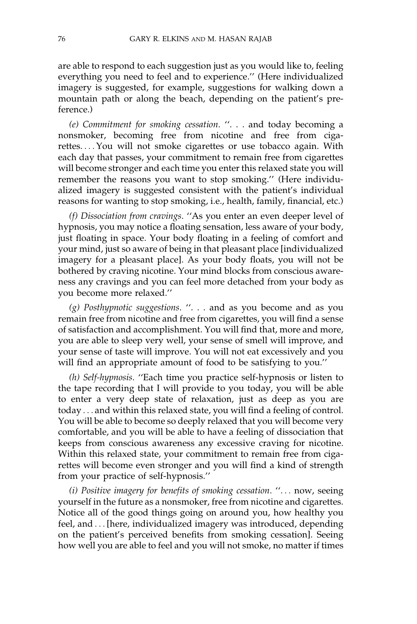are able to respond to each suggestion just as you would like to, feeling everything you need to feel and to experience.'' (Here individualized imagery is suggested, for example, suggestions for walking down a mountain path or along the beach, depending on the patient's preference.)

(e) Commitment for smoking cessation. ''. . . and today becoming a nonsmoker, becoming free from nicotine and free from cigarettes. ... You will not smoke cigarettes or use tobacco again. With each day that passes, your commitment to remain free from cigarettes will become stronger and each time you enter this relaxed state you will remember the reasons you want to stop smoking.'' (Here individualized imagery is suggested consistent with the patient's individual reasons for wanting to stop smoking, i.e., health, family, financial, etc.)

(f) Dissociation from cravings. ''As you enter an even deeper level of hypnosis, you may notice a floating sensation, less aware of your body, just floating in space. Your body floating in a feeling of comfort and your mind, just so aware of being in that pleasant place [individualized imagery for a pleasant place]. As your body floats, you will not be bothered by craving nicotine. Your mind blocks from conscious awareness any cravings and you can feel more detached from your body as you become more relaxed.''

(g) Posthypnotic suggestions. ''. . . and as you become and as you remain free from nicotine and free from cigarettes, you will find a sense of satisfaction and accomplishment. You will find that, more and more, you are able to sleep very well, your sense of smell will improve, and your sense of taste will improve. You will not eat excessively and you will find an appropriate amount of food to be satisfying to you.''

(h) Self-hypnosis. ''Each time you practice self-hypnosis or listen to the tape recording that I will provide to you today, you will be able to enter a very deep state of relaxation, just as deep as you are today ... and within this relaxed state, you will find a feeling of control. You will be able to become so deeply relaxed that you will become very comfortable, and you will be able to have a feeling of dissociation that keeps from conscious awareness any excessive craving for nicotine. Within this relaxed state, your commitment to remain free from cigarettes will become even stronger and you will find a kind of strength from your practice of self-hypnosis.''

(i) Positive imagery for benefits of smoking cessation. ''... now, seeing yourself in the future as a nonsmoker, free from nicotine and cigarettes. Notice all of the good things going on around you, how healthy you feel, and ... [here, individualized imagery was introduced, depending on the patient's perceived benefits from smoking cessation]. Seeing how well you are able to feel and you will not smoke, no matter if times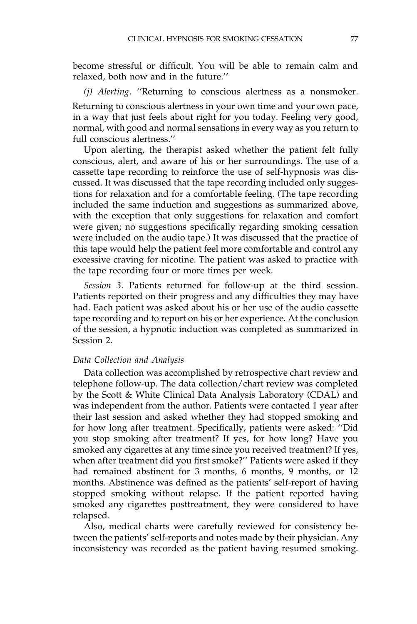become stressful or difficult. You will be able to remain calm and relaxed, both now and in the future.''

(j) Alerting. ''Returning to conscious alertness as a nonsmoker.

Returning to conscious alertness in your own time and your own pace, in a way that just feels about right for you today. Feeling very good, normal, with good and normal sensations in every way as you return to full conscious alertness.''

Upon alerting, the therapist asked whether the patient felt fully conscious, alert, and aware of his or her surroundings. The use of a cassette tape recording to reinforce the use of self-hypnosis was discussed. It was discussed that the tape recording included only suggestions for relaxation and for a comfortable feeling. (The tape recording included the same induction and suggestions as summarized above, with the exception that only suggestions for relaxation and comfort were given; no suggestions specifically regarding smoking cessation were included on the audio tape.) It was discussed that the practice of this tape would help the patient feel more comfortable and control any excessive craving for nicotine. The patient was asked to practice with the tape recording four or more times per week.

Session 3. Patients returned for follow-up at the third session. Patients reported on their progress and any difficulties they may have had. Each patient was asked about his or her use of the audio cassette tape recording and to report on his or her experience. At the conclusion of the session, a hypnotic induction was completed as summarized in Session 2.

# Data Collection and Analysis

Data collection was accomplished by retrospective chart review and telephone follow-up. The data collection/chart review was completed by the Scott & White Clinical Data Analysis Laboratory (CDAL) and was independent from the author. Patients were contacted 1 year after their last session and asked whether they had stopped smoking and for how long after treatment. Specifically, patients were asked: ''Did you stop smoking after treatment? If yes, for how long? Have you smoked any cigarettes at any time since you received treatment? If yes, when after treatment did you first smoke?'' Patients were asked if they had remained abstinent for 3 months, 6 months, 9 months, or 12 months. Abstinence was defined as the patients' self-report of having stopped smoking without relapse. If the patient reported having smoked any cigarettes posttreatment, they were considered to have relapsed.

Also, medical charts were carefully reviewed for consistency between the patients' self-reports and notes made by their physician. Any inconsistency was recorded as the patient having resumed smoking.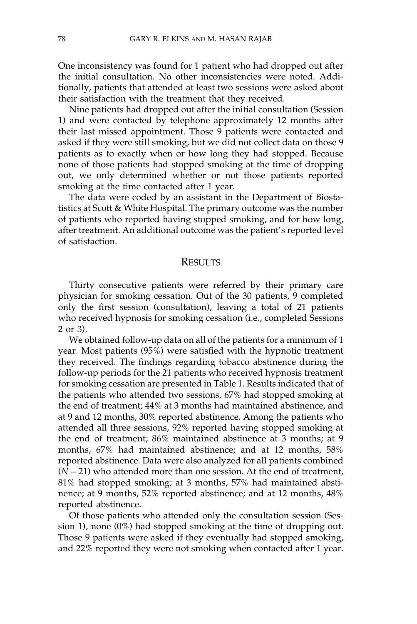One inconsistency was found for 1 patient who had dropped out after the initial consultation. No other inconsistencies were noted. Additionally, patients that attended at least two sessions were asked about their satisfaction with the treatment that they received.

Nine patients had dropped out after the initial consultation (Session 1) and were contacted by telephone approximately 12 months after their last missed appointment. Those 9 patients were contacted and asked if they were still smoking, but we did not collect data on those 9 patients as to exactly when or how long they had stopped. Because none of those patients had stopped smoking at the time of dropping out, we only determined whether or not those patients reported smoking at the time contacted after 1 year.

The data were coded by an assistant in the Department of Biostatistics at Scott & White Hospital. The primary outcome was the number of patients who reported having stopped smoking, and for how long, after treatment. An additional outcome was the patient's reported level of satisfaction.

## **RESULTS**

Thirty consecutive patients were referred by their primary care physician for smoking cessation. Out of the 30 patients, 9 completed only the first session (consultation), leaving a total of 21 patients who received hypnosis for smoking cessation (i.e., completed Sessions 2 or 3).

We obtained follow-up data on all of the patients for a minimum of 1 year. Most patients (95%) were satisfied with the hypnotic treatment they received. The findings regarding tobacco abstinence during the follow-up periods for the 21 patients who received hypnosis treatment for smoking cessation are presented in Table 1. Results indicated that of the patients who attended two sessions, 67% had stopped smoking at the end of treatment; 44% at 3 months had maintained abstinence, and at 9 and 12 months, 30% reported abstinence. Among the patients who attended all three sessions, 92% reported having stopped smoking at the end of treatment; 86% maintained abstinence at 3 months; at 9 months, 67% had maintained abstinence; and at 12 months, 58% reported abstinence. Data were also analyzed for all patients combined  $(N = 21)$  who attended more than one session. At the end of treatment, 81% had stopped smoking; at 3 months, 57% had maintained abstinence; at 9 months, 52% reported abstinence; and at 12 months, 48% reported abstinence.

Of those patients who attended only the consultation session (Session 1), none (0%) had stopped smoking at the time of dropping out. Those 9 patients were asked if they eventually had stopped smoking, and 22% reported they were not smoking when contacted after 1 year.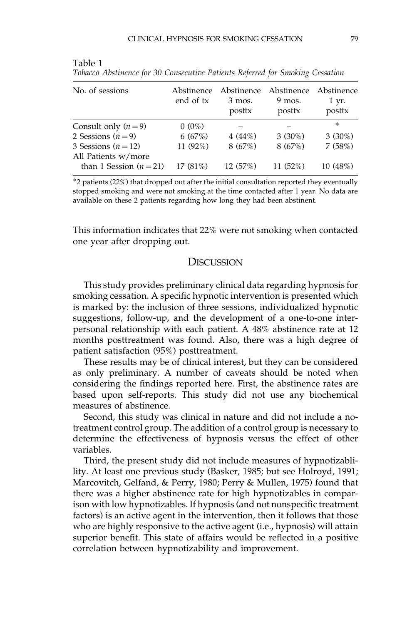| No. of sessions                            | Abstinence<br>end of tx | Abstinence<br>3 mos.<br>posttx | Abstinence<br>9 mos.<br>posttx | Abstinence<br>1 yr.<br>posttx |
|--------------------------------------------|-------------------------|--------------------------------|--------------------------------|-------------------------------|
| Consult only $(n=9)$                       | $0(0\%)$                |                                |                                | $\ast$                        |
| 2 Sessions $(n=9)$                         | 6(67%)                  | $4(44\%)$                      | $3(30\%)$                      | $3(30\%)$                     |
| 3 Sessions $(n=12)$<br>All Patients w/more | 11 $(92\%)$             | 8(67%)                         | 8(67%)                         | 7(58%)                        |
| than 1 Session $(n=21)$                    | $17(81\%)$              | 12(57%)                        | $11(52\%)$                     | 10 (48%)                      |

Table 1 Tobacco Abstinence for 30 Consecutive Patients Referred for Smoking Cessation

-2 patients (22%) that dropped out after the initial consultation reported they eventually stopped smoking and were not smoking at the time contacted after 1 year. No data are available on these 2 patients regarding how long they had been abstinent.

This information indicates that 22% were not smoking when contacted one year after dropping out.

#### **DISCUSSION**

This study provides preliminary clinical data regarding hypnosis for smoking cessation. A specific hypnotic intervention is presented which is marked by: the inclusion of three sessions, individualized hypnotic suggestions, follow-up, and the development of a one-to-one interpersonal relationship with each patient. A 48% abstinence rate at 12 months posttreatment was found. Also, there was a high degree of patient satisfaction (95%) posttreatment.

These results may be of clinical interest, but they can be considered as only preliminary. A number of caveats should be noted when considering the findings reported here. First, the abstinence rates are based upon self-reports. This study did not use any biochemical measures of abstinence.

Second, this study was clinical in nature and did not include a notreatment control group. The addition of a control group is necessary to determine the effectiveness of hypnosis versus the effect of other variables.

Third, the present study did not include measures of hypnotizablility. At least one previous study (Basker, 1985; but see Holroyd, 1991; Marcovitch, Gelfand, & Perry, 1980; Perry & Mullen, 1975) found that there was a higher abstinence rate for high hypnotizables in comparison with low hypnotizables. If hypnosis (and not nonspecific treatment factors) is an active agent in the intervention, then it follows that those who are highly responsive to the active agent (i.e., hypnosis) will attain superior benefit. This state of affairs would be reflected in a positive correlation between hypnotizability and improvement.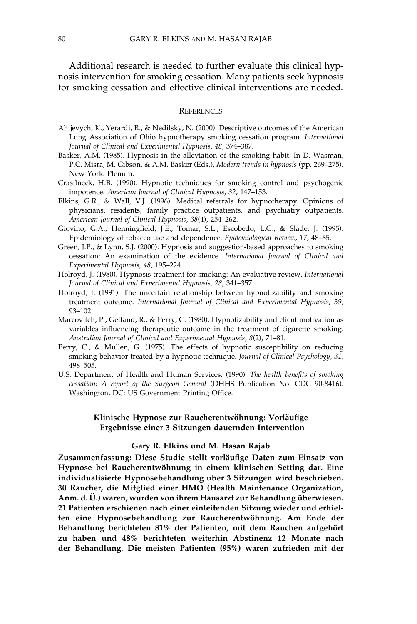Additional research is needed to further evaluate this clinical hypnosis intervention for smoking cessation. Many patients seek hypnosis for smoking cessation and effective clinical interventions are needed.

#### **REFERENCES**

- Ahijevych, K., Yerardi, R., & Nedilsky, N. (2000). Descriptive outcomes of the American Lung Association of Ohio hypnotherapy smoking cessation program. International Journal of Clinical and Experimental Hypnosis, 48, 374–387.
- Basker, A.M. (1985). Hypnosis in the alleviation of the smoking habit. In D. Wasman, P.C. Misra, M. Gibson, & A.M. Basker (Eds.), Modern trends in hypnosis (pp. 269–275). New York: Plenum.
- Crasilneck, H.B. (1990). Hypnotic techniques for smoking control and psychogenic impotence. American Journal of Clinical Hypnosis, 32, 147–153.
- Elkins, G.R., & Wall, V.J. (1996). Medical referrals for hypnotherapy: Opinions of physicians, residents, family practice outpatients, and psychiatry outpatients. American Journal of Clinical Hypnosis, 38(4), 254–262.
- Giovino, G.A., Henningfield, J.E., Tomar, S.L., Escobedo, L.G., & Slade, J. (1995). Epidemiology of tobacco use and dependence. Epidemiological Review, 17, 48–65.
- Green, J.P., & Lynn, S.J. (2000). Hypnosis and suggestion-based approaches to smoking cessation: An examination of the evidence. International Journal of Clinical and Experimental Hypnosis, 48, 195–224.
- Holroyd, J. (1980). Hypnosis treatment for smoking: An evaluative review. International Journal of Clinical and Experimental Hypnosis, 28, 341–357.
- Holroyd, J. (1991). The uncertain relationship between hypnotizability and smoking treatment outcome. International Journal of Clinical and Experimental Hypnosis, 39, 93–102.
- Marcovitch, P., Gelfand, R., & Perry, C. (1980). Hypnotizability and client motivation as variables influencing therapeutic outcome in the treatment of cigarette smoking. Australian Journal of Clinical and Experimental Hypnosis, 8(2), 71–81.
- Perry, C., & Mullen, G. (1975). The effects of hypnotic susceptibility on reducing smoking behavior treated by a hypnotic technique. Journal of Clinical Psychology, 31, 498–505.
- U.S. Department of Health and Human Services. (1990). The health benefits of smoking cessation: A report of the Surgeon General (DHHS Publication No. CDC 90-8416). Washington, DC: US Government Printing Office.

#### Klinische Hypnose zur Raucherentwöhnung: Vorläufige Ergebnisse einer 3 Sitzungen dauernden Intervention

#### Gary R. Elkins und M. Hasan Rajab

Zusammenfassung: Diese Studie stellt vorläufige Daten zum Einsatz von Hypnose bei Raucherentwöhnung in einem klinischen Setting dar. Eine individualisierte Hypnosebehandlung über 3 Sitzungen wird beschrieben. 30 Raucher, die Mitglied einer HMO (Health Maintenance Organization, Anm. d. Ü.) waren, wurden von ihrem Hausarzt zur Behandlung überwiesen. 21 Patienten erschienen nach einer einleitenden Sitzung wieder und erhielten eine Hypnosebehandlung zur Raucherentwöhnung. Am Ende der Behandlung berichteten 81% der Patienten, mit dem Rauchen aufgehört zu haben und 48% berichteten weiterhin Abstinenz 12 Monate nach der Behandlung. Die meisten Patienten (95%) waren zufrieden mit der